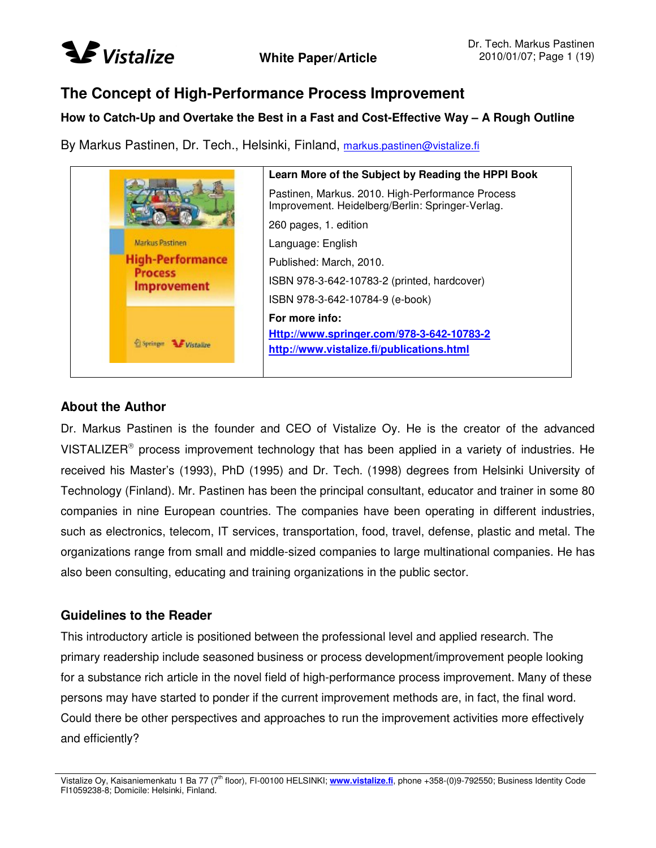

### **The Concept of High-Performance Process Improvement**

#### **How to Catch-Up and Overtake the Best in a Fast and Cost-Effective Way – A Rough Outline**

By Markus Pastinen, Dr. Tech., Helsinki, Finland, markus.pastinen@vistalize.fi



#### **About the Author**

Dr. Markus Pastinen is the founder and CEO of Vistalize Oy. He is the creator of the advanced VISTALIZER<sup>®</sup> process improvement technology that has been applied in a variety of industries. He received his Master's (1993), PhD (1995) and Dr. Tech. (1998) degrees from Helsinki University of Technology (Finland). Mr. Pastinen has been the principal consultant, educator and trainer in some 80 companies in nine European countries. The companies have been operating in different industries, such as electronics, telecom, IT services, transportation, food, travel, defense, plastic and metal. The organizations range from small and middle-sized companies to large multinational companies. He has also been consulting, educating and training organizations in the public sector.

#### **Guidelines to the Reader**

This introductory article is positioned between the professional level and applied research. The primary readership include seasoned business or process development/improvement people looking for a substance rich article in the novel field of high-performance process improvement. Many of these persons may have started to ponder if the current improvement methods are, in fact, the final word. Could there be other perspectives and approaches to run the improvement activities more effectively and efficiently?

Vistalize Oy, Kaisaniemenkatu 1 Ba 77 (7<sup>th</sup> floor), FI-00100 HELSINKI; www.vistalize.fi, phone +358-(0)9-792550; Business Identity Code FI1059238-8; Domicile: Helsinki, Finland.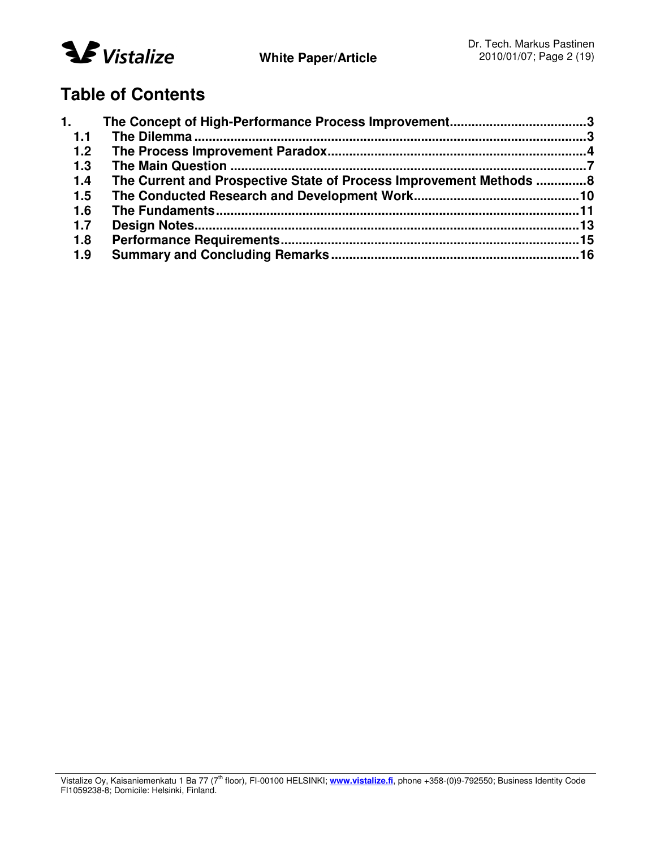

## **Table of Contents**

| 1.    |                                                                     |  |
|-------|---------------------------------------------------------------------|--|
| 1.1   |                                                                     |  |
| $1.2$ |                                                                     |  |
| 1.3   |                                                                     |  |
| 1.4   | The Current and Prospective State of Process Improvement Methods  8 |  |
| 1.5   |                                                                     |  |
| 1.6   |                                                                     |  |
| 1.7   |                                                                     |  |
| 1.8   |                                                                     |  |
| 1.9   |                                                                     |  |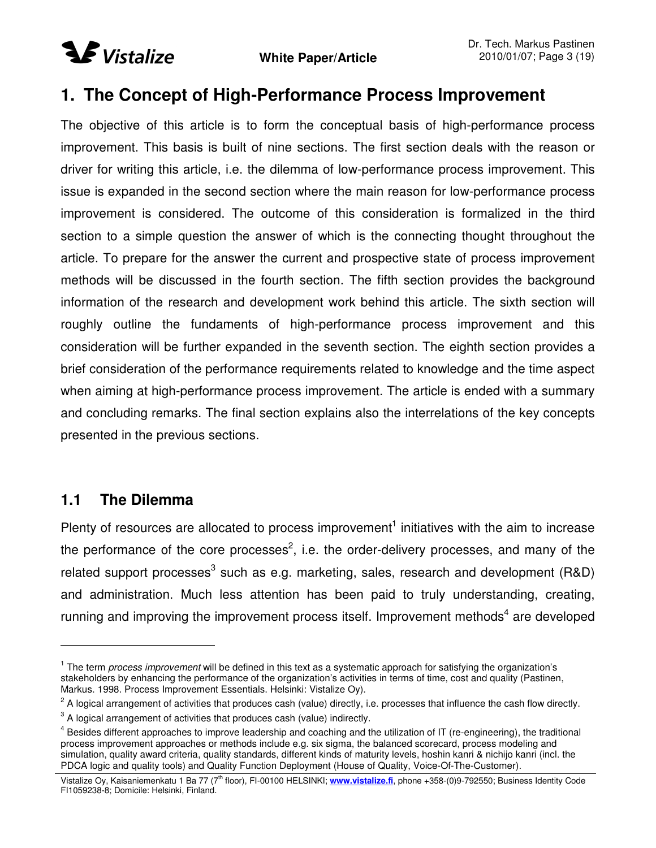

## **1. The Concept of High-Performance Process Improvement**

The objective of this article is to form the conceptual basis of high-performance process improvement. This basis is built of nine sections. The first section deals with the reason or driver for writing this article, i.e. the dilemma of low-performance process improvement. This issue is expanded in the second section where the main reason for low-performance process improvement is considered. The outcome of this consideration is formalized in the third section to a simple question the answer of which is the connecting thought throughout the article. To prepare for the answer the current and prospective state of process improvement methods will be discussed in the fourth section. The fifth section provides the background information of the research and development work behind this article. The sixth section will roughly outline the fundaments of high-performance process improvement and this consideration will be further expanded in the seventh section. The eighth section provides a brief consideration of the performance requirements related to knowledge and the time aspect when aiming at high-performance process improvement. The article is ended with a summary and concluding remarks. The final section explains also the interrelations of the key concepts presented in the previous sections.

### **1.1 The Dilemma**

Plenty of resources are allocated to process improvement<sup>1</sup> initiatives with the aim to increase the performance of the core processes<sup>2</sup>, i.e. the order-delivery processes, and many of the related support processes<sup>3</sup> such as e.g. marketing, sales, research and development (R&D) and administration. Much less attention has been paid to truly understanding, creating, running and improving the improvement process itself. Improvement methods<sup>4</sup> are developed

<sup>1</sup> The term *process improvement* will be defined in this text as a systematic approach for satisfying the organization's stakeholders by enhancing the performance of the organization's activities in terms of time, cost and quality (Pastinen, Markus. 1998. Process Improvement Essentials. Helsinki: Vistalize Oy).

 $^2$  A logical arrangement of activities that produces cash (value) directly, i.e. processes that influence the cash flow directly.  $3$  A logical arrangement of activities that produces cash (value) indirectly.

<sup>&</sup>lt;sup>4</sup> Besides different approaches to improve leadership and coaching and the utilization of IT (re-engineering), the traditional process improvement approaches or methods include e.g. six sigma, the balanced scorecard, process modeling and

simulation, quality award criteria, quality standards, different kinds of maturity levels, hoshin kanri & nichijo kanri (incl. the PDCA logic and quality tools) and Quality Function Deployment (House of Quality, Voice-Of-The-Customer).

Vistalize Oy, Kaisaniemenkatu 1 Ba 77 (7<sup>th</sup> floor), FI-00100 HELSINKI; www.vistalize.fi, phone +358-(0)9-792550; Business Identity Code FI1059238-8; Domicile: Helsinki, Finland.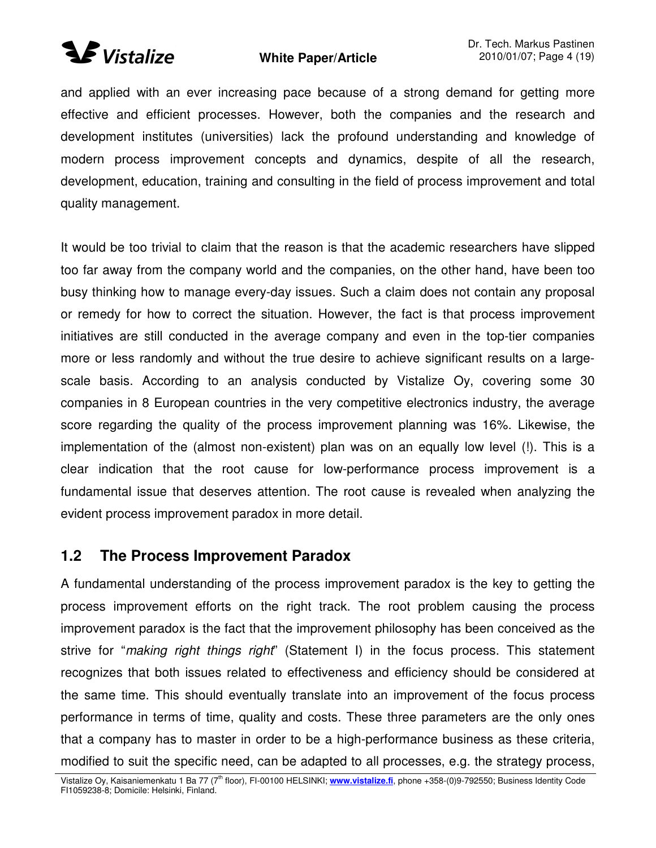# **Wistalize**

### **White Paper/Article**

and applied with an ever increasing pace because of a strong demand for getting more effective and efficient processes. However, both the companies and the research and development institutes (universities) lack the profound understanding and knowledge of modern process improvement concepts and dynamics, despite of all the research, development, education, training and consulting in the field of process improvement and total quality management.

It would be too trivial to claim that the reason is that the academic researchers have slipped too far away from the company world and the companies, on the other hand, have been too busy thinking how to manage every-day issues. Such a claim does not contain any proposal or remedy for how to correct the situation. However, the fact is that process improvement initiatives are still conducted in the average company and even in the top-tier companies more or less randomly and without the true desire to achieve significant results on a largescale basis. According to an analysis conducted by Vistalize Oy, covering some 30 companies in 8 European countries in the very competitive electronics industry, the average score regarding the quality of the process improvement planning was 16%. Likewise, the implementation of the (almost non-existent) plan was on an equally low level (!). This is a clear indication that the root cause for low-performance process improvement is a fundamental issue that deserves attention. The root cause is revealed when analyzing the evident process improvement paradox in more detail.

### **1.2 The Process Improvement Paradox**

A fundamental understanding of the process improvement paradox is the key to getting the process improvement efforts on the right track. The root problem causing the process improvement paradox is the fact that the improvement philosophy has been conceived as the strive for "*making right things right*" (Statement I) in the focus process. This statement recognizes that both issues related to effectiveness and efficiency should be considered at the same time. This should eventually translate into an improvement of the focus process performance in terms of time, quality and costs. These three parameters are the only ones that a company has to master in order to be a high-performance business as these criteria, modified to suit the specific need, can be adapted to all processes, e.g. the strategy process,

Vistalize Oy, Kaisaniemenkatu 1 Ba 77 (7<sup>th</sup> floor), FI-00100 HELSINKI; www.vistalize.fi, phone +358-(0)9-792550; Business Identity Code FI1059238-8; Domicile: Helsinki, Finland.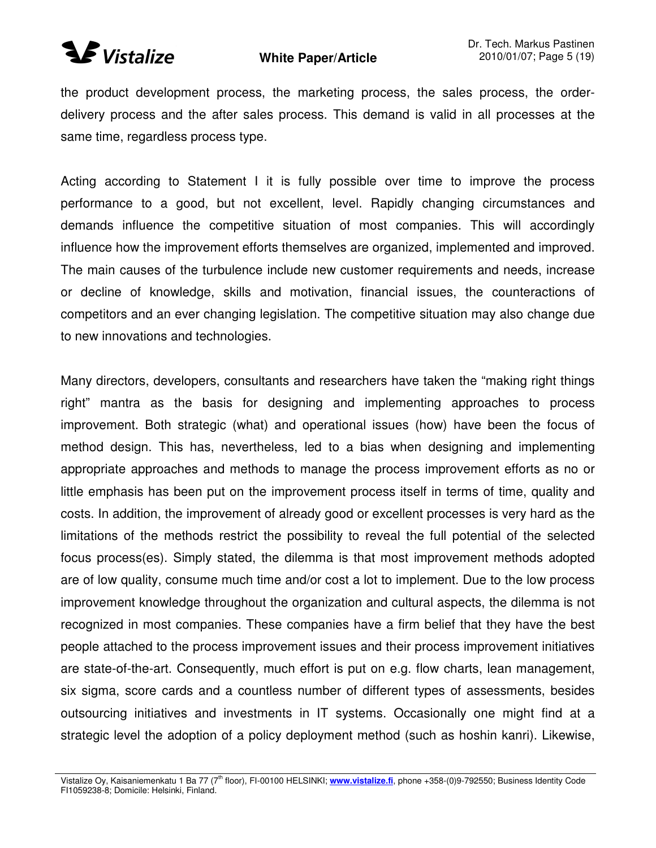

#### **White Paper/Article**

the product development process, the marketing process, the sales process, the orderdelivery process and the after sales process. This demand is valid in all processes at the same time, regardless process type.

Acting according to Statement I it is fully possible over time to improve the process performance to a good, but not excellent, level. Rapidly changing circumstances and demands influence the competitive situation of most companies. This will accordingly influence how the improvement efforts themselves are organized, implemented and improved. The main causes of the turbulence include new customer requirements and needs, increase or decline of knowledge, skills and motivation, financial issues, the counteractions of competitors and an ever changing legislation. The competitive situation may also change due to new innovations and technologies.

Many directors, developers, consultants and researchers have taken the "making right things right" mantra as the basis for designing and implementing approaches to process improvement. Both strategic (what) and operational issues (how) have been the focus of method design. This has, nevertheless, led to a bias when designing and implementing appropriate approaches and methods to manage the process improvement efforts as no or little emphasis has been put on the improvement process itself in terms of time, quality and costs. In addition, the improvement of already good or excellent processes is very hard as the limitations of the methods restrict the possibility to reveal the full potential of the selected focus process(es). Simply stated, the dilemma is that most improvement methods adopted are of low quality, consume much time and/or cost a lot to implement. Due to the low process improvement knowledge throughout the organization and cultural aspects, the dilemma is not recognized in most companies. These companies have a firm belief that they have the best people attached to the process improvement issues and their process improvement initiatives are state-of-the-art. Consequently, much effort is put on e.g. flow charts, lean management, six sigma, score cards and a countless number of different types of assessments, besides outsourcing initiatives and investments in IT systems. Occasionally one might find at a strategic level the adoption of a policy deployment method (such as hoshin kanri). Likewise,

Vistalize Oy, Kaisaniemenkatu 1 Ba 77 (7<sup>th</sup> floor), FI-00100 HELSINKI; www.vistalize.fi, phone +358-(0)9-792550; Business Identity Code FI1059238-8; Domicile: Helsinki, Finland.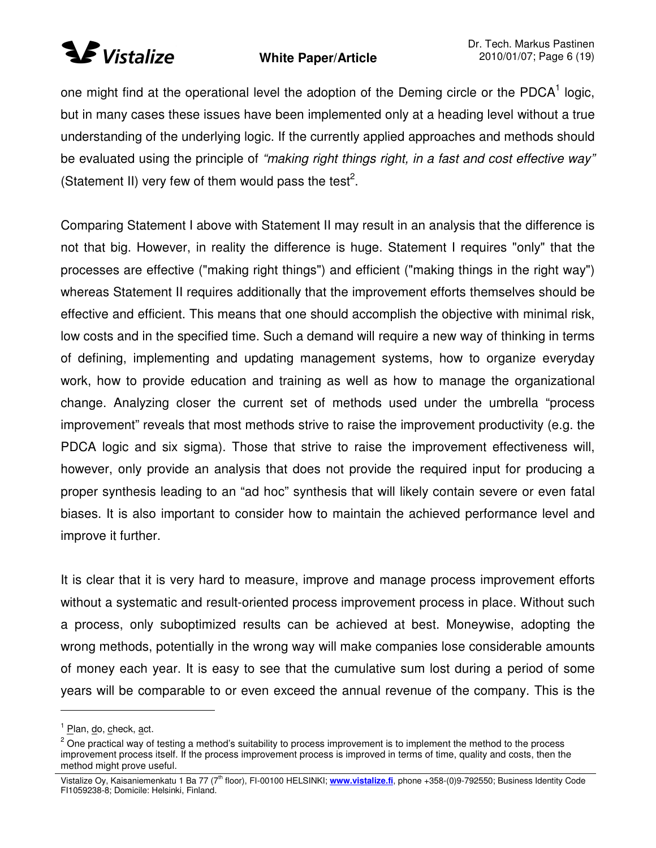# **Wistalize**

### **White Paper/Article**

one might find at the operational level the adoption of the Deming circle or the PDCA<sup>1</sup> logic, but in many cases these issues have been implemented only at a heading level without a true understanding of the underlying logic. If the currently applied approaches and methods should be evaluated using the principle of *"making right things right, in a fast and cost effective way"* (Statement II) very few of them would pass the test<sup>2</sup>.

Comparing Statement I above with Statement II may result in an analysis that the difference is not that big. However, in reality the difference is huge. Statement I requires "only" that the processes are effective ("making right things") and efficient ("making things in the right way") whereas Statement II requires additionally that the improvement efforts themselves should be effective and efficient. This means that one should accomplish the objective with minimal risk, low costs and in the specified time. Such a demand will require a new way of thinking in terms of defining, implementing and updating management systems, how to organize everyday work, how to provide education and training as well as how to manage the organizational change. Analyzing closer the current set of methods used under the umbrella "process improvement" reveals that most methods strive to raise the improvement productivity (e.g. the PDCA logic and six sigma). Those that strive to raise the improvement effectiveness will, however, only provide an analysis that does not provide the required input for producing a proper synthesis leading to an "ad hoc" synthesis that will likely contain severe or even fatal biases. It is also important to consider how to maintain the achieved performance level and improve it further.

It is clear that it is very hard to measure, improve and manage process improvement efforts without a systematic and result-oriented process improvement process in place. Without such a process, only suboptimized results can be achieved at best. Moneywise, adopting the wrong methods, potentially in the wrong way will make companies lose considerable amounts of money each year. It is easy to see that the cumulative sum lost during a period of some years will be comparable to or even exceed the annual revenue of the company. This is the

<sup>&</sup>lt;sup>1</sup> Plan, do, check, act.

 $2$  One practical way of testing a method's suitability to process improvement is to implement the method to the process improvement process itself. If the process improvement process is improved in terms of time, quality and costs, then the method might prove useful.

Vistalize Oy, Kaisaniemenkatu 1 Ba 77 (7<sup>th</sup> floor), FI-00100 HELSINKI; www.vistalize.fi, phone +358-(0)9-792550; Business Identity Code FI1059238-8; Domicile: Helsinki, Finland.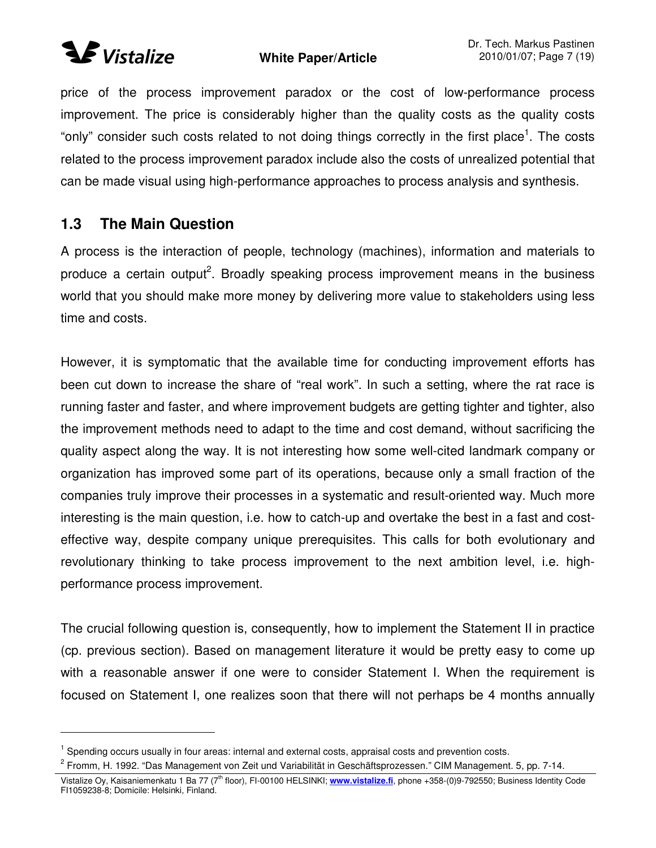

price of the process improvement paradox or the cost of low-performance process improvement. The price is considerably higher than the quality costs as the quality costs "only" consider such costs related to not doing things correctly in the first place<sup>1</sup>. The costs related to the process improvement paradox include also the costs of unrealized potential that can be made visual using high-performance approaches to process analysis and synthesis.

## **1.3 The Main Question**

A process is the interaction of people, technology (machines), information and materials to produce a certain output<sup>2</sup>. Broadly speaking process improvement means in the business world that you should make more money by delivering more value to stakeholders using less time and costs.

However, it is symptomatic that the available time for conducting improvement efforts has been cut down to increase the share of "real work". In such a setting, where the rat race is running faster and faster, and where improvement budgets are getting tighter and tighter, also the improvement methods need to adapt to the time and cost demand, without sacrificing the quality aspect along the way. It is not interesting how some well-cited landmark company or organization has improved some part of its operations, because only a small fraction of the companies truly improve their processes in a systematic and result-oriented way. Much more interesting is the main question, i.e. how to catch-up and overtake the best in a fast and costeffective way, despite company unique prerequisites. This calls for both evolutionary and revolutionary thinking to take process improvement to the next ambition level, i.e. highperformance process improvement.

The crucial following question is, consequently, how to implement the Statement II in practice (cp. previous section). Based on management literature it would be pretty easy to come up with a reasonable answer if one were to consider Statement I. When the requirement is focused on Statement I, one realizes soon that there will not perhaps be 4 months annually

<sup>&</sup>lt;sup>1</sup> Spending occurs usually in four areas: internal and external costs, appraisal costs and prevention costs.

<sup>&</sup>lt;sup>2</sup> Fromm, H. 1992. "Das Management von Zeit und Variabilität in Geschäftsprozessen." CIM Management. 5, pp. 7-14.

Vistalize Oy, Kaisaniemenkatu 1 Ba 77 (7<sup>th</sup> floor), FI-00100 HELSINKI; www.vistalize.fi, phone +358-(0)9-792550; Business Identity Code FI1059238-8; Domicile: Helsinki, Finland.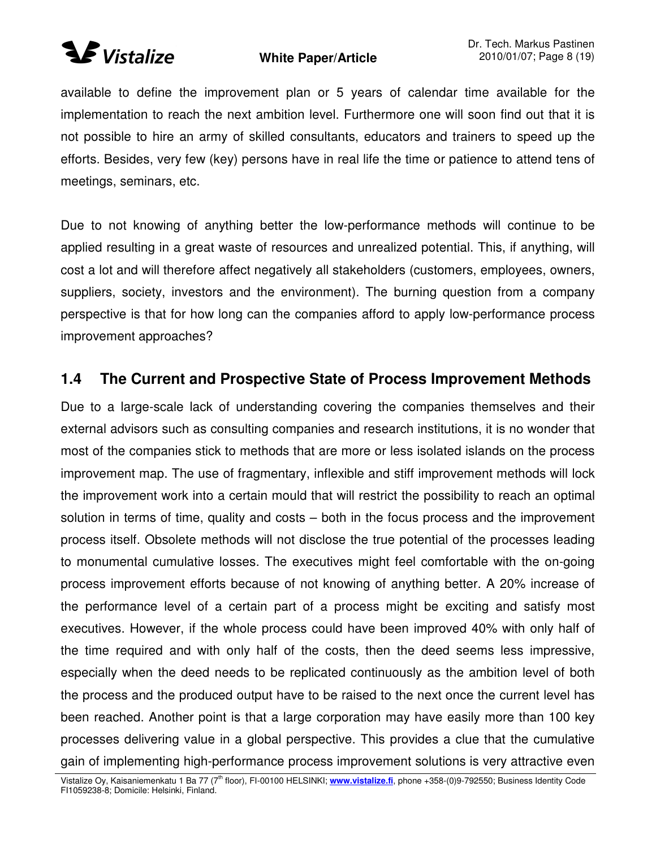# *SVistalize*

### **White Paper/Article**

available to define the improvement plan or 5 years of calendar time available for the implementation to reach the next ambition level. Furthermore one will soon find out that it is not possible to hire an army of skilled consultants, educators and trainers to speed up the efforts. Besides, very few (key) persons have in real life the time or patience to attend tens of meetings, seminars, etc.

Due to not knowing of anything better the low-performance methods will continue to be applied resulting in a great waste of resources and unrealized potential. This, if anything, will cost a lot and will therefore affect negatively all stakeholders (customers, employees, owners, suppliers, society, investors and the environment). The burning question from a company perspective is that for how long can the companies afford to apply low-performance process improvement approaches?

## **1.4 The Current and Prospective State of Process Improvement Methods**

Due to a large-scale lack of understanding covering the companies themselves and their external advisors such as consulting companies and research institutions, it is no wonder that most of the companies stick to methods that are more or less isolated islands on the process improvement map. The use of fragmentary, inflexible and stiff improvement methods will lock the improvement work into a certain mould that will restrict the possibility to reach an optimal solution in terms of time, quality and costs – both in the focus process and the improvement process itself. Obsolete methods will not disclose the true potential of the processes leading to monumental cumulative losses. The executives might feel comfortable with the on-going process improvement efforts because of not knowing of anything better. A 20% increase of the performance level of a certain part of a process might be exciting and satisfy most executives. However, if the whole process could have been improved 40% with only half of the time required and with only half of the costs, then the deed seems less impressive, especially when the deed needs to be replicated continuously as the ambition level of both the process and the produced output have to be raised to the next once the current level has been reached. Another point is that a large corporation may have easily more than 100 key processes delivering value in a global perspective. This provides a clue that the cumulative gain of implementing high-performance process improvement solutions is very attractive even

Vistalize Oy, Kaisaniemenkatu 1 Ba 77 (7<sup>th</sup> floor), FI-00100 HELSINKI; www.vistalize.fi, phone +358-(0)9-792550; Business Identity Code FI1059238-8; Domicile: Helsinki, Finland.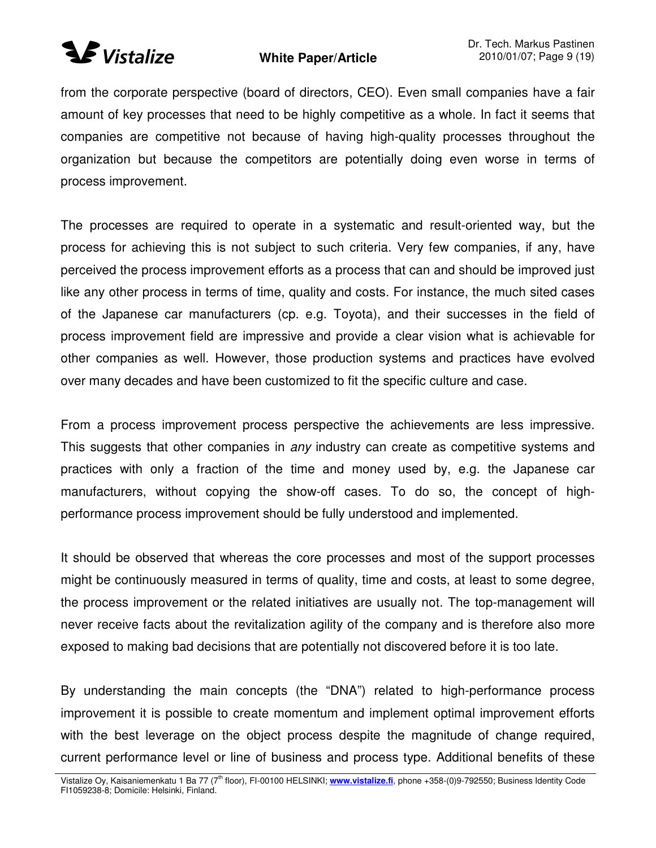## **Wistalize**

### **White Paper/Article**

from the corporate perspective (board of directors, CEO). Even small companies have a fair amount of key processes that need to be highly competitive as a whole. In fact it seems that companies are competitive not because of having high-quality processes throughout the organization but because the competitors are potentially doing even worse in terms of process improvement.

The processes are required to operate in a systematic and result-oriented way, but the process for achieving this is not subject to such criteria. Very few companies, if any, have perceived the process improvement efforts as a process that can and should be improved just like any other process in terms of time, quality and costs. For instance, the much sited cases of the Japanese car manufacturers (cp. e.g. Toyota), and their successes in the field of process improvement field are impressive and provide a clear vision what is achievable for other companies as well. However, those production systems and practices have evolved over many decades and have been customized to fit the specific culture and case.

From a process improvement process perspective the achievements are less impressive. This suggests that other companies in *any* industry can create as competitive systems and practices with only a fraction of the time and money used by, e.g. the Japanese car manufacturers, without copying the show-off cases. To do so, the concept of highperformance process improvement should be fully understood and implemented.

It should be observed that whereas the core processes and most of the support processes might be continuously measured in terms of quality, time and costs, at least to some degree, the process improvement or the related initiatives are usually not. The top-management will never receive facts about the revitalization agility of the company and is therefore also more exposed to making bad decisions that are potentially not discovered before it is too late.

By understanding the main concepts (the "DNA") related to high-performance process improvement it is possible to create momentum and implement optimal improvement efforts with the best leverage on the object process despite the magnitude of change required, current performance level or line of business and process type. Additional benefits of these

Vistalize Oy, Kaisaniemenkatu 1 Ba 77 (7<sup>th</sup> floor), FI-00100 HELSINKI; www.vistalize.fi, phone +358-(0)9-792550; Business Identity Code FI1059238-8; Domicile: Helsinki, Finland.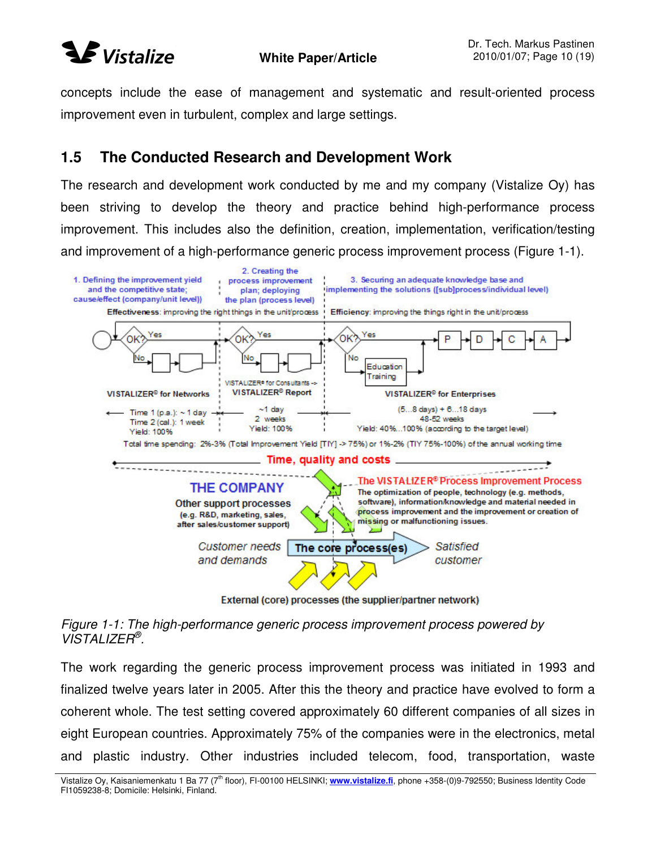

concepts include the ease of management and systematic and result-oriented process improvement even in turbulent, complex and large settings.

### **1.5 The Conducted Research and Development Work**

The research and development work conducted by me and my company (Vistalize Oy) has been striving to develop the theory and practice behind high-performance process improvement. This includes also the definition, creation, implementation, verification/testing and improvement of a high-performance generic process improvement process (Figure 1-1).



External (core) processes (the supplier/partner network)

*Figure 1-1: The high-performance generic process improvement process powered by VISTALIZER ® .*

The work regarding the generic process improvement process was initiated in 1993 and finalized twelve years later in 2005. After this the theory and practice have evolved to form a coherent whole. The test setting covered approximately 60 different companies of all sizes in eight European countries. Approximately 75% of the companies were in the electronics, metal and plastic industry. Other industries included telecom, food, transportation, waste

Vistalize Oy, Kaisaniemenkatu 1 Ba 77 (7<sup>th</sup> floor), FI-00100 HELSINKI; www.vistalize.fi, phone +358-(0)9-792550; Business Identity Code FI1059238-8; Domicile: Helsinki, Finland.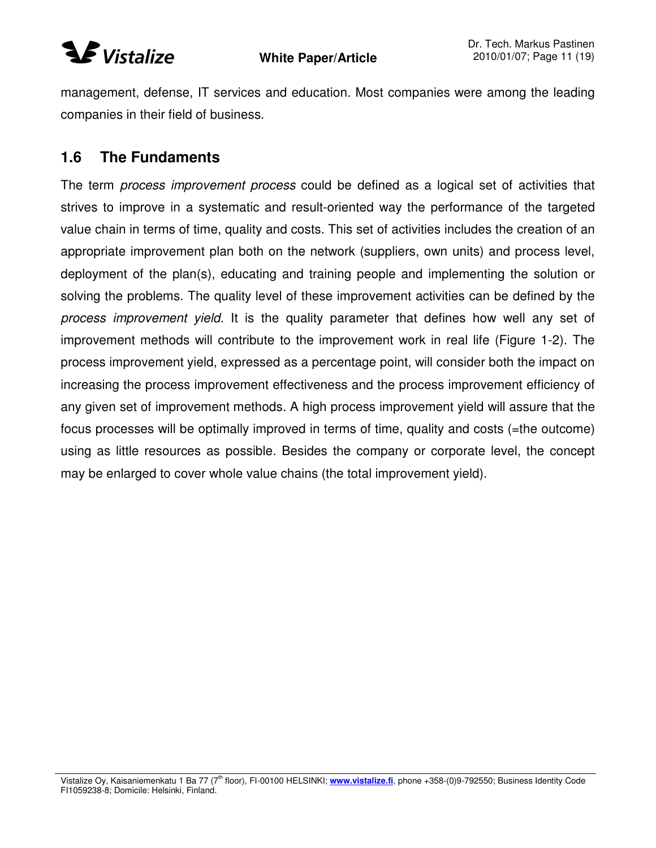

management, defense, IT services and education. Most companies were among the leading companies in their field of business.

### **1.6 The Fundaments**

The term *process improvement process* could be defined as a logical set of activities that strives to improve in a systematic and result-oriented way the performance of the targeted value chain in terms of time, quality and costs. This set of activities includes the creation of an appropriate improvement plan both on the network (suppliers, own units) and process level, deployment of the plan(s), educating and training people and implementing the solution or solving the problems. The quality level of these improvement activities can be defined by the *process improvement yield*. It is the quality parameter that defines how well any set of improvement methods will contribute to the improvement work in real life (Figure 1-2). The process improvement yield, expressed as a percentage point, will consider both the impact on increasing the process improvement effectiveness and the process improvement efficiency of any given set of improvement methods. A high process improvement yield will assure that the focus processes will be optimally improved in terms of time, quality and costs (=the outcome) using as little resources as possible. Besides the company or corporate level, the concept may be enlarged to cover whole value chains (the total improvement yield).

Vistalize Oy, Kaisaniemenkatu 1 Ba 77 (7<sup>th</sup> floor), FI-00100 HELSINKI; www.vistalize.fi, phone +358-(0)9-792550; Business Identity Code FI1059238-8; Domicile: Helsinki, Finland.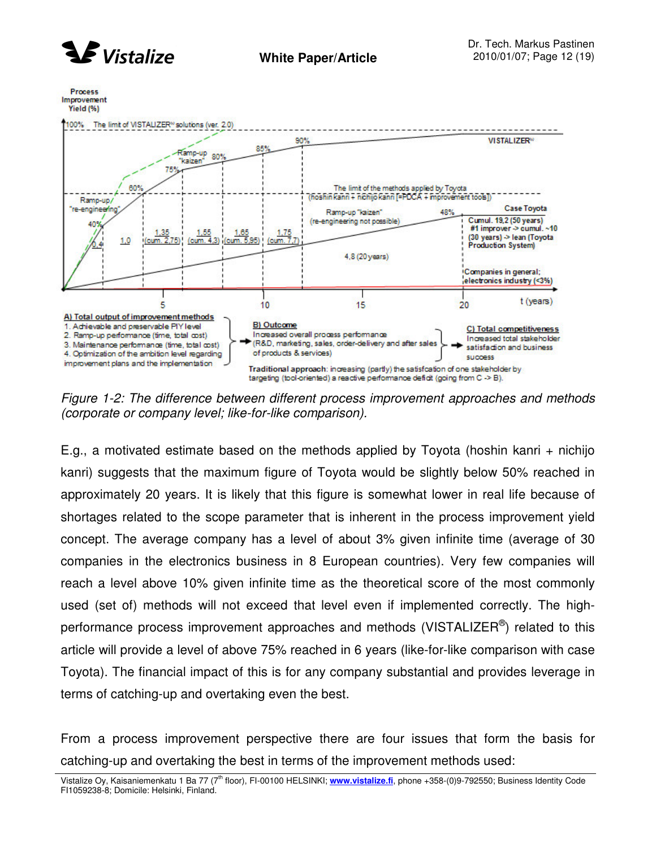



*Figure 1-2: The difference between different process improvement approaches and methods (corporate or company level; like-for-like comparison).*

E.g., a motivated estimate based on the methods applied by Toyota (hoshin kanri + nichijo kanri) suggests that the maximum figure of Toyota would be slightly below 50% reached in approximately 20 years. It is likely that this figure is somewhat lower in real life because of shortages related to the scope parameter that is inherent in the process improvement yield concept. The average company has a level of about 3% given infinite time (average of 30 companies in the electronics business in 8 European countries). Very few companies will reach a level above 10% given infinite time as the theoretical score of the most commonly used (set of) methods will not exceed that level even if implemented correctly. The highperformance process improvement approaches and methods (VISTALIZER®) related to this article will provide a level of above 75% reached in 6 years (like-for-like comparison with case Toyota). The financial impact of this is for any company substantial and provides leverage in terms of catching-up and overtaking even the best.

From a process improvement perspective there are four issues that form the basis for catching-up and overtaking the best in terms of the improvement methods used:

Vistalize Oy, Kaisaniemenkatu 1 Ba 77 (7<sup>th</sup> floor), FI-00100 HELSINKI; www.vistalize.fi, phone +358-(0)9-792550; Business Identity Code FI1059238-8; Domicile: Helsinki, Finland.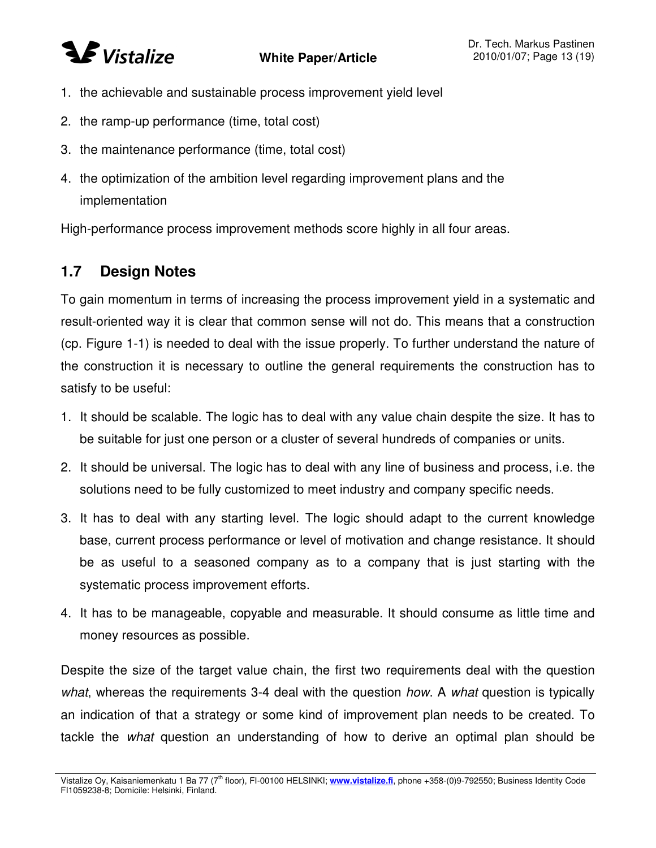## **SE** Vistalize

### **White Paper/Article**

- 1. the achievable and sustainable process improvement yield level
- 2. the ramp-up performance (time, total cost)
- 3. the maintenance performance (time, total cost)
- 4. the optimization of the ambition level regarding improvement plans and the implementation

High-performance process improvement methods score highly in all four areas.

## **1.7 Design Notes**

To gain momentum in terms of increasing the process improvement yield in a systematic and result-oriented way it is clear that common sense will not do. This means that a construction (cp. Figure 1-1) is needed to deal with the issue properly. To further understand the nature of the construction it is necessary to outline the general requirements the construction has to satisfy to be useful:

- 1. It should be scalable. The logic has to deal with any value chain despite the size. It has to be suitable for just one person or a cluster of several hundreds of companies or units.
- 2. It should be universal. The logic has to deal with any line of business and process, i.e. the solutions need to be fully customized to meet industry and company specific needs.
- 3. It has to deal with any starting level. The logic should adapt to the current knowledge base, current process performance or level of motivation and change resistance. It should be as useful to a seasoned company as to a company that is just starting with the systematic process improvement efforts.
- 4. It has to be manageable, copyable and measurable. It should consume as little time and money resources as possible.

Despite the size of the target value chain, the first two requirements deal with the question *what*, whereas the requirements 3-4 deal with the question *how*. A *what* question is typically an indication of that a strategy or some kind of improvement plan needs to be created. To tackle the *what* question an understanding of how to derive an optimal plan should be

Vistalize Oy, Kaisaniemenkatu 1 Ba 77 (7<sup>th</sup> floor), FI-00100 HELSINKI; www.vistalize.fi, phone +358-(0)9-792550; Business Identity Code FI1059238-8; Domicile: Helsinki, Finland.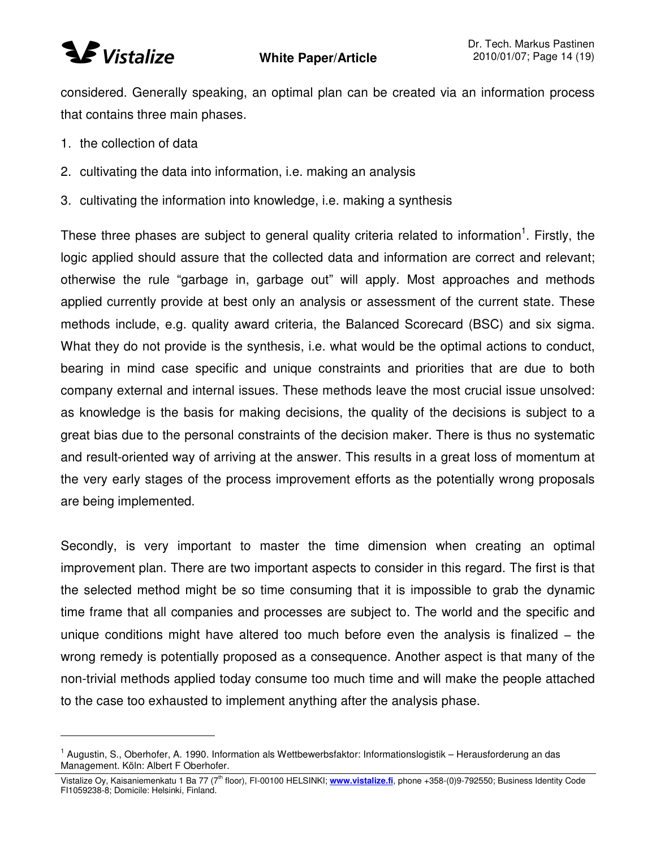considered. Generally speaking, an optimal plan can be created via an information process that contains three main phases.

- 1. the collection of data
- 2. cultivating the data into information, i.e. making an analysis
- 3. cultivating the information into knowledge, i.e. making a synthesis

These three phases are subject to general quality criteria related to information<sup>1</sup>. Firstly, the logic applied should assure that the collected data and information are correct and relevant; otherwise the rule "garbage in, garbage out" will apply. Most approaches and methods applied currently provide at best only an analysis or assessment of the current state. These methods include, e.g. quality award criteria, the Balanced Scorecard (BSC) and six sigma. What they do not provide is the synthesis, i.e. what would be the optimal actions to conduct, bearing in mind case specific and unique constraints and priorities that are due to both company external and internal issues. These methods leave the most crucial issue unsolved: as knowledge is the basis for making decisions, the quality of the decisions is subject to a great bias due to the personal constraints of the decision maker. There is thus no systematic and result-oriented way of arriving at the answer. This results in a great loss of momentum at the very early stages of the process improvement efforts as the potentially wrong proposals are being implemented.

Secondly, is very important to master the time dimension when creating an optimal improvement plan. There are two important aspects to consider in this regard. The first is that the selected method might be so time consuming that it is impossible to grab the dynamic time frame that all companies and processes are subject to. The world and the specific and unique conditions might have altered too much before even the analysis is finalized – the wrong remedy is potentially proposed as a consequence. Another aspect is that many of the non-trivial methods applied today consume too much time and will make the people attached to the case too exhausted to implement anything after the analysis phase.

<sup>&</sup>lt;sup>1</sup> Augustin, S., Oberhofer, A. 1990. Information als Wettbewerbsfaktor: Informationslogistik – Herausforderung an das Management. Köln: Albert F Oberhofer.

Vistalize Oy, Kaisaniemenkatu 1 Ba 77 (7<sup>th</sup> floor), FI-00100 HELSINKI; www.vistalize.fi, phone +358-(0)9-792550; Business Identity Code FI1059238-8; Domicile: Helsinki, Finland.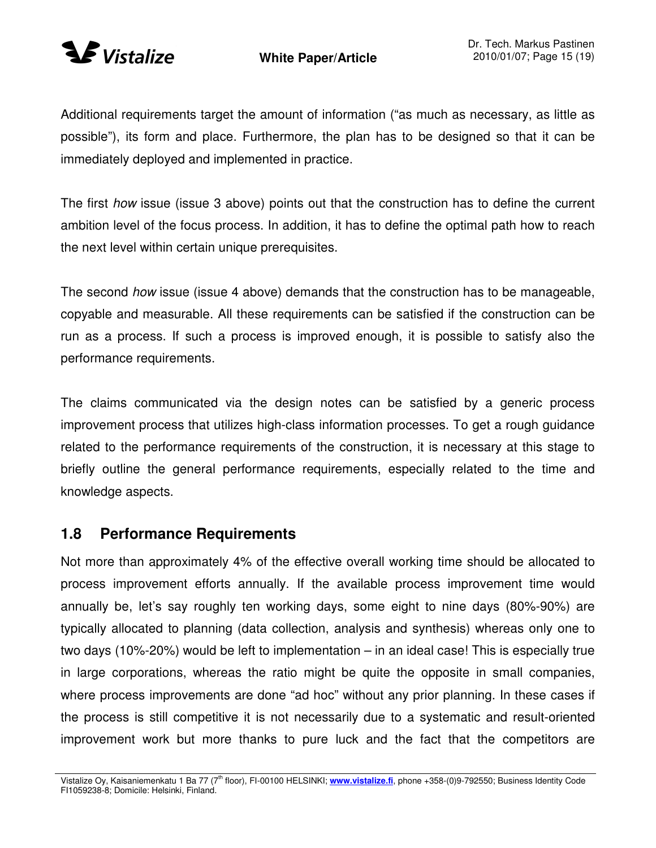

Additional requirements target the amount of information ("as much as necessary, as little as possible"), its form and place. Furthermore, the plan has to be designed so that it can be immediately deployed and implemented in practice.

The first *how* issue (issue 3 above) points out that the construction has to define the current ambition level of the focus process. In addition, it has to define the optimal path how to reach the next level within certain unique prerequisites.

The second *how* issue (issue 4 above) demands that the construction has to be manageable, copyable and measurable. All these requirements can be satisfied if the construction can be run as a process. If such a process is improved enough, it is possible to satisfy also the performance requirements.

The claims communicated via the design notes can be satisfied by a generic process improvement process that utilizes high-class information processes. To get a rough guidance related to the performance requirements of the construction, it is necessary at this stage to briefly outline the general performance requirements, especially related to the time and knowledge aspects.

### **1.8 Performance Requirements**

Not more than approximately 4% of the effective overall working time should be allocated to process improvement efforts annually. If the available process improvement time would annually be, let's say roughly ten working days, some eight to nine days (80%-90%) are typically allocated to planning (data collection, analysis and synthesis) whereas only one to two days (10%-20%) would be left to implementation – in an ideal case! This is especially true in large corporations, whereas the ratio might be quite the opposite in small companies, where process improvements are done "ad hoc" without any prior planning. In these cases if the process is still competitive it is not necessarily due to a systematic and result-oriented improvement work but more thanks to pure luck and the fact that the competitors are

Vistalize Oy, Kaisaniemenkatu 1 Ba 77 (7<sup>th</sup> floor), FI-00100 HELSINKI; www.vistalize.fi, phone +358-(0)9-792550; Business Identity Code FI1059238-8; Domicile: Helsinki, Finland.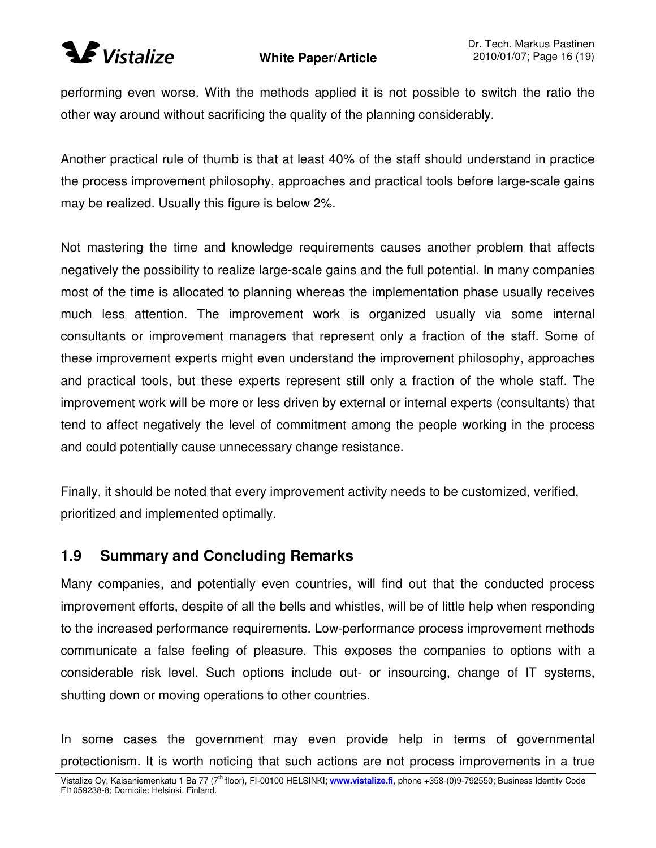

performing even worse. With the methods applied it is not possible to switch the ratio the other way around without sacrificing the quality of the planning considerably.

Another practical rule of thumb is that at least 40% of the staff should understand in practice the process improvement philosophy, approaches and practical tools before large-scale gains may be realized. Usually this figure is below 2%.

Not mastering the time and knowledge requirements causes another problem that affects negatively the possibility to realize large-scale gains and the full potential. In many companies most of the time is allocated to planning whereas the implementation phase usually receives much less attention. The improvement work is organized usually via some internal consultants or improvement managers that represent only a fraction of the staff. Some of these improvement experts might even understand the improvement philosophy, approaches and practical tools, but these experts represent still only a fraction of the whole staff. The improvement work will be more or less driven by external or internal experts (consultants) that tend to affect negatively the level of commitment among the people working in the process and could potentially cause unnecessary change resistance.

Finally, it should be noted that every improvement activity needs to be customized, verified, prioritized and implemented optimally.

## **1.9 Summary and Concluding Remarks**

Many companies, and potentially even countries, will find out that the conducted process improvement efforts, despite of all the bells and whistles, will be of little help when responding to the increased performance requirements. Low-performance process improvement methods communicate a false feeling of pleasure. This exposes the companies to options with a considerable risk level. Such options include out- or insourcing, change of IT systems, shutting down or moving operations to other countries.

In some cases the government may even provide help in terms of governmental protectionism. It is worth noticing that such actions are not process improvements in a true

Vistalize Oy, Kaisaniemenkatu 1 Ba 77 (7<sup>th</sup> floor), FI-00100 HELSINKI; www.vistalize.fi, phone +358-(0)9-792550; Business Identity Code FI1059238-8; Domicile: Helsinki, Finland.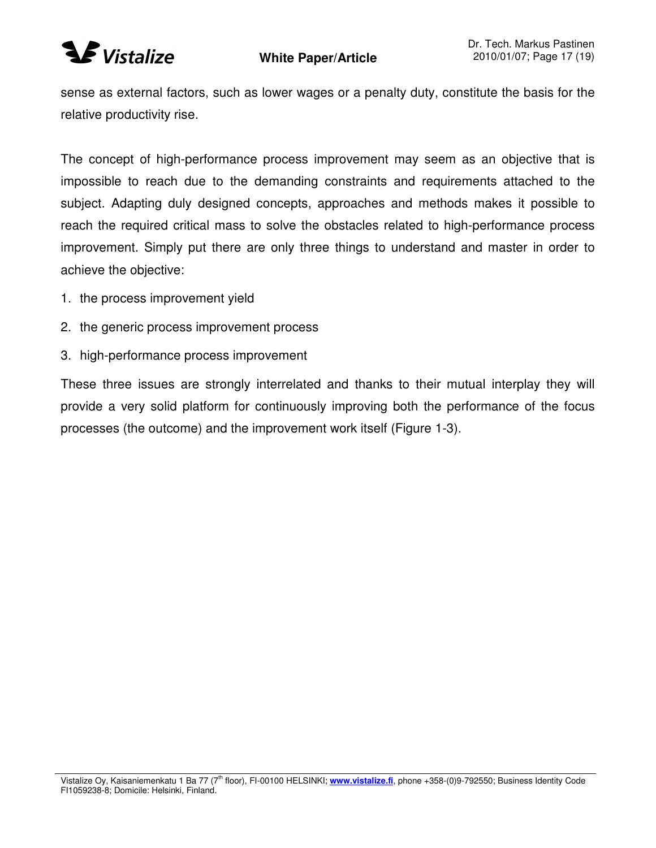

sense as external factors, such as lower wages or a penalty duty, constitute the basis for the relative productivity rise.

The concept of high-performance process improvement may seem as an objective that is impossible to reach due to the demanding constraints and requirements attached to the subject. Adapting duly designed concepts, approaches and methods makes it possible to reach the required critical mass to solve the obstacles related to high-performance process improvement. Simply put there are only three things to understand and master in order to achieve the objective:

- 1. the process improvement yield
- 2. the generic process improvement process
- 3. high-performance process improvement

These three issues are strongly interrelated and thanks to their mutual interplay they will provide a very solid platform for continuously improving both the performance of the focus processes (the outcome) and the improvement work itself (Figure 1-3).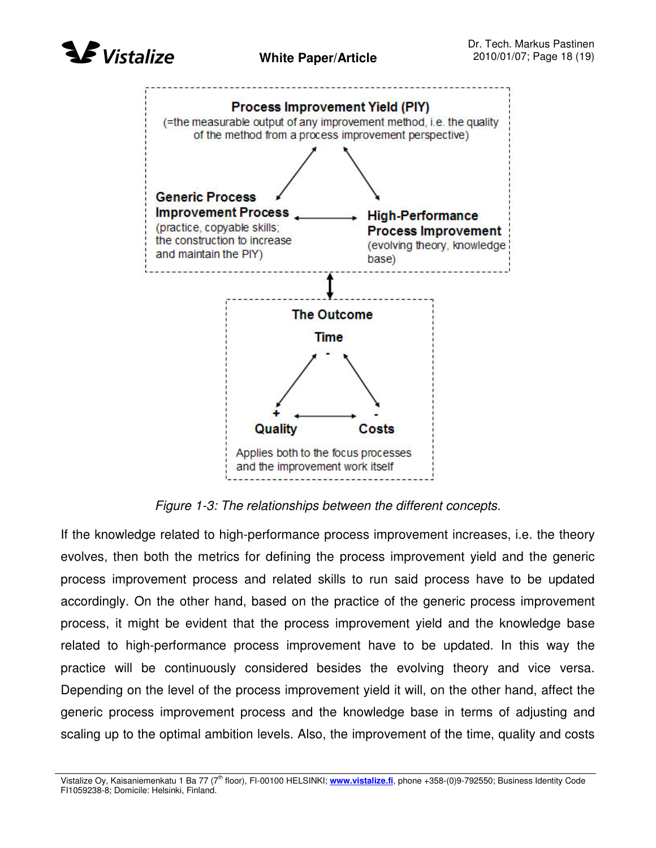



*Figure 1-3: The relationships between the different concepts.*

If the knowledge related to high-performance process improvement increases, i.e. the theory evolves, then both the metrics for defining the process improvement yield and the generic process improvement process and related skills to run said process have to be updated accordingly. On the other hand, based on the practice of the generic process improvement process, it might be evident that the process improvement yield and the knowledge base related to high-performance process improvement have to be updated. In this way the practice will be continuously considered besides the evolving theory and vice versa. Depending on the level of the process improvement yield it will, on the other hand, affect the generic process improvement process and the knowledge base in terms of adjusting and scaling up to the optimal ambition levels. Also, the improvement of the time, quality and costs

Vistalize Oy, Kaisaniemenkatu 1 Ba 77 (7<sup>th</sup> floor), FI-00100 HELSINKI; www.vistalize.fi, phone +358-(0)9-792550; Business Identity Code FI1059238-8; Domicile: Helsinki, Finland.